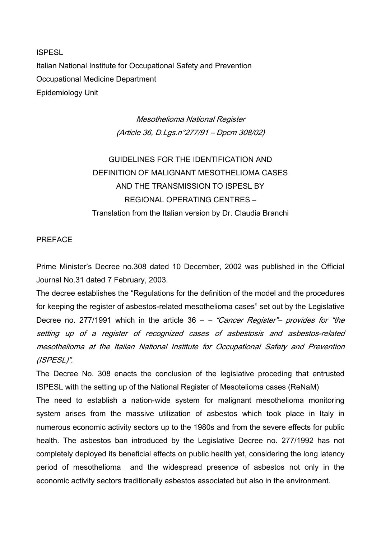**ISPESL** Italian National Institute for Occupational Safety and Prevention Occupational Medicine Department Epidemiology Unit

> Mesothelioma National Register (Article 36, D.Lgs.n°277/91 – Dpcm 308/02)

# GUIDELINES FOR THE IDENTIFICATION AND DEFINITION OF MALIGNANT MESOTHELIOMA CASES AND THE TRANSMISSION TO ISPESL BY REGIONAL OPERATING CENTRES – Translation from the Italian version by Dr. Claudia Branchi

#### PREFACE

Prime Minister's Decree no.308 dated 10 December, 2002 was published in the Official Journal No.31 dated 7 February, 2003.

The decree establishes the "Regulations for the definition of the model and the procedures for keeping the register of asbestos-related mesothelioma cases" set out by the Legislative Decree no. 277/1991 which in the article  $36 - -$  "Cancer Register"- provides for "the setting up of a register of recognized cases of asbestosis and asbestos-related mesothelioma at the Italian National Institute for Occupational Safety and Prevention (ISPESL)".

The Decree No. 308 enacts the conclusion of the legislative proceding that entrusted ISPESL with the setting up of the National Register of Mesotelioma cases (ReNaM)

The need to establish a nation-wide system for malignant mesothelioma monitoring system arises from the massive utilization of asbestos which took place in Italy in numerous economic activity sectors up to the 1980s and from the severe effects for public health. The asbestos ban introduced by the Legislative Decree no. 277/1992 has not completely deployed its beneficial effects on public health yet, considering the long latency period of mesothelioma and the widespread presence of asbestos not only in the economic activity sectors traditionally asbestos associated but also in the environment.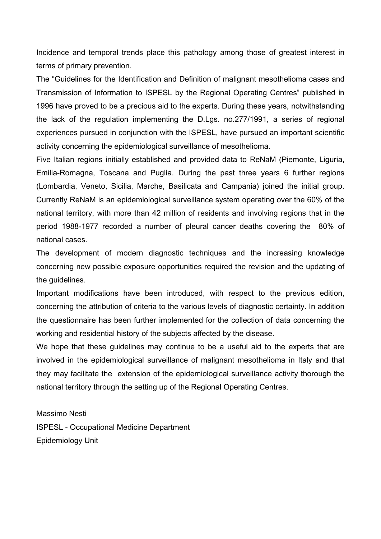Incidence and temporal trends place this pathology among those of greatest interest in terms of primary prevention.

The "Guidelines for the Identification and Definition of malignant mesothelioma cases and Transmission of Information to ISPESL by the Regional Operating Centres" published in 1996 have proved to be a precious aid to the experts. During these years, notwithstanding the lack of the regulation implementing the D.Lgs. no.277/1991, a series of regional experiences pursued in conjunction with the ISPESL, have pursued an important scientific activity concerning the epidemiological surveillance of mesothelioma.

Five Italian regions initially established and provided data to ReNaM (Piemonte, Liguria, Emilia-Romagna, Toscana and Puglia. During the past three years 6 further regions (Lombardia, Veneto, Sicilia, Marche, Basilicata and Campania) joined the initial group. Currently ReNaM is an epidemiological surveillance system operating over the 60% of the national territory, with more than 42 million of residents and involving regions that in the period 1988-1977 recorded a number of pleural cancer deaths covering the 80% of national cases.

The development of modern diagnostic techniques and the increasing knowledge concerning new possible exposure opportunities required the revision and the updating of the guidelines.

Important modifications have been introduced, with respect to the previous edition, concerning the attribution of criteria to the various levels of diagnostic certainty. In addition the questionnaire has been further implemented for the collection of data concerning the working and residential history of the subjects affected by the disease.

We hope that these guidelines may continue to be a useful aid to the experts that are involved in the epidemiological surveillance of malignant mesothelioma in Italy and that they may facilitate the extension of the epidemiological surveillance activity thorough the national territory through the setting up of the Regional Operating Centres.

Massimo Nesti ISPESL - Occupational Medicine Department

Epidemiology Unit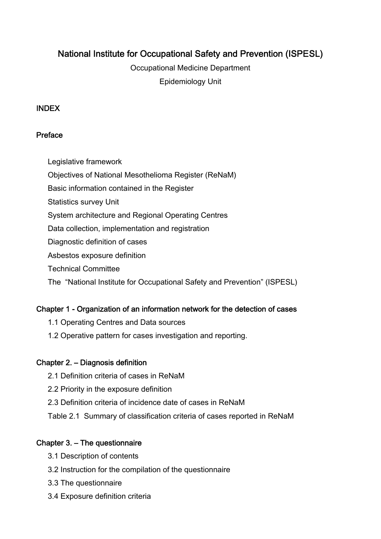# National Institute for Occupational Safety and Prevention (ISPESL)

Occupational Medicine Department Epidemiology Unit

#### INDEX

#### Preface

Legislative framework

Objectives of National Mesothelioma Register (ReNaM)

Basic information contained in the Register

Statistics survey Unit

System architecture and Regional Operating Centres

Data collection, implementation and registration

Diagnostic definition of cases

Asbestos exposure definition

Technical Committee

The "National Institute for Occupational Safety and Prevention" (ISPESL)

### Chapter 1 - Organization of an information network for the detection of cases

- 1.1 Operating Centres and Data sources
- 1.2 Operative pattern for cases investigation and reporting.

### Chapter 2. – Diagnosis definition

- 2.1 Definition criteria of cases in ReNaM
- 2.2 Priority in the exposure definition
- 2.3 Definition criteria of incidence date of cases in ReNaM
- Table 2.1 Summary of classification criteria of cases reported in ReNaM

### Chapter 3. – The questionnaire

- 3.1 Description of contents
- 3.2 Instruction for the compilation of the questionnaire
- 3.3 The questionnaire
- 3.4 Exposure definition criteria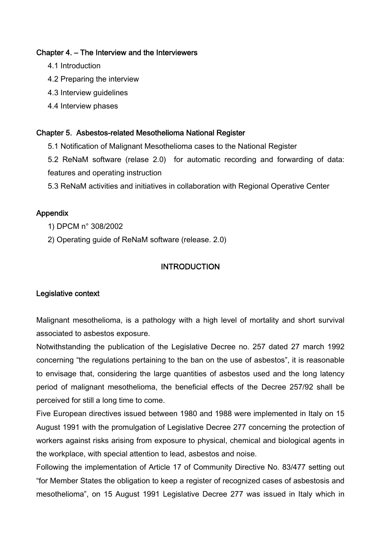#### Chapter 4. – The Interview and the Interviewers

- 4.1 Introduction
- 4.2 Preparing the interview
- 4.3 Interview guidelines
- 4.4 Interview phases

#### Chapter 5. Asbestos-related Mesothelioma National Register

- 5.1 Notification of Malignant Mesothelioma cases to the National Register
- 5.2 ReNaM software (relase 2.0) for automatic recording and forwarding of data: features and operating instruction
- 5.3 ReNaM activities and initiatives in collaboration with Regional Operative Center

#### Appendix

- 1) DPCM n° 308/2002
- 2) Operating guide of ReNaM software (release. 2.0)

### **INTRODUCTION**

#### Legislative context

Malignant mesothelioma, is a pathology with a high level of mortality and short survival associated to asbestos exposure.

Notwithstanding the publication of the Legislative Decree no. 257 dated 27 march 1992 concerning "the regulations pertaining to the ban on the use of asbestos", it is reasonable to envisage that, considering the large quantities of asbestos used and the long latency period of malignant mesothelioma, the beneficial effects of the Decree 257/92 shall be perceived for still a long time to come.

Five European directives issued between 1980 and 1988 were implemented in Italy on 15 August 1991 with the promulgation of Legislative Decree 277 concerning the protection of workers against risks arising from exposure to physical, chemical and biological agents in the workplace, with special attention to lead, asbestos and noise.

Following the implementation of Article 17 of Community Directive No. 83/477 setting out "for Member States the obligation to keep a register of recognized cases of asbestosis and mesothelioma", on 15 August 1991 Legislative Decree 277 was issued in Italy which in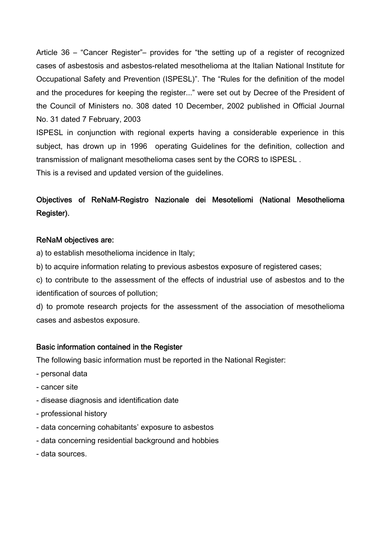Article 36 – "Cancer Register"– provides for "the setting up of a register of recognized cases of asbestosis and asbestos-related mesothelioma at the Italian National Institute for Occupational Safety and Prevention (ISPESL)". The "Rules for the definition of the model and the procedures for keeping the register..." were set out by Decree of the President of the Council of Ministers no. 308 dated 10 December, 2002 published in Official Journal No. 31 dated 7 February, 2003

ISPESL in conjunction with regional experts having a considerable experience in this subject, has drown up in 1996 operating Guidelines for the definition, collection and transmission of malignant mesothelioma cases sent by the CORS to ISPESL .

This is a revised and updated version of the guidelines.

# Objectives of ReNaM-Registro Nazionale dei Mesoteliomi (National Mesothelioma Register).

#### ReNaM objectives are:

a) to establish mesothelioma incidence in Italy;

b) to acquire information relating to previous asbestos exposure of registered cases;

c) to contribute to the assessment of the effects of industrial use of asbestos and to the identification of sources of pollution;

d) to promote research projects for the assessment of the association of mesothelioma cases and asbestos exposure.

#### Basic information contained in the Register

The following basic information must be reported in the National Register:

- personal data
- cancer site
- disease diagnosis and identification date
- professional history
- data concerning cohabitants' exposure to asbestos
- data concerning residential background and hobbies
- data sources.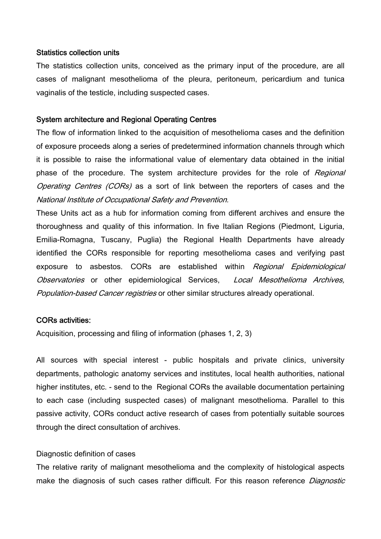#### Statistics collection units

The statistics collection units, conceived as the primary input of the procedure, are all cases of malignant mesothelioma of the pleura, peritoneum, pericardium and tunica vaginalis of the testicle, including suspected cases.

#### System architecture and Regional Operating Centres

The flow of information linked to the acquisition of mesothelioma cases and the definition of exposure proceeds along a series of predetermined information channels through which it is possible to raise the informational value of elementary data obtained in the initial phase of the procedure. The system architecture provides for the role of Regional Operating Centres (CORs) as a sort of link between the reporters of cases and the National Institute of Occupational Safety and Prevention.

These Units act as a hub for information coming from different archives and ensure the thoroughness and quality of this information. In five Italian Regions (Piedmont, Liguria, Emilia-Romagna, Tuscany, Puglia) the Regional Health Departments have already identified the CORs responsible for reporting mesothelioma cases and verifying past exposure to asbestos. CORs are established within *Regional Epidemiological* Observatories or other epidemiological Services, Local Mesothelioma Archives, Population-based Cancer registries or other similar structures already operational.

#### CORs activities:

Acquisition, processing and filing of information (phases 1, 2, 3)

All sources with special interest - public hospitals and private clinics, university departments, pathologic anatomy services and institutes, local health authorities, national higher institutes, etc. - send to the Regional CORs the available documentation pertaining to each case (including suspected cases) of malignant mesothelioma. Parallel to this passive activity, CORs conduct active research of cases from potentially suitable sources through the direct consultation of archives.

#### Diagnostic definition of cases

The relative rarity of malignant mesothelioma and the complexity of histological aspects make the diagnosis of such cases rather difficult. For this reason reference *Diagnostic*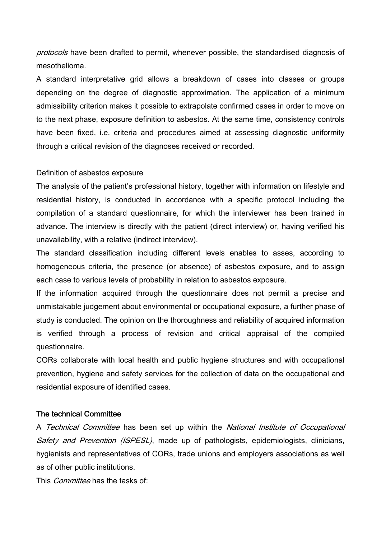protocols have been drafted to permit, whenever possible, the standardised diagnosis of mesothelioma.

A standard interpretative grid allows a breakdown of cases into classes or groups depending on the degree of diagnostic approximation. The application of a minimum admissibility criterion makes it possible to extrapolate confirmed cases in order to move on to the next phase, exposure definition to asbestos. At the same time, consistency controls have been fixed, i.e. criteria and procedures aimed at assessing diagnostic uniformity through a critical revision of the diagnoses received or recorded.

#### Definition of asbestos exposure

The analysis of the patient's professional history, together with information on lifestyle and residential history, is conducted in accordance with a specific protocol including the compilation of a standard questionnaire, for which the interviewer has been trained in advance. The interview is directly with the patient (direct interview) or, having verified his unavailability, with a relative (indirect interview).

The standard classification including different levels enables to asses, according to homogeneous criteria, the presence (or absence) of asbestos exposure, and to assign each case to various levels of probability in relation to asbestos exposure.

If the information acquired through the questionnaire does not permit a precise and unmistakable judgement about environmental or occupational exposure, a further phase of study is conducted. The opinion on the thoroughness and reliability of acquired information is verified through a process of revision and critical appraisal of the compiled questionnaire.

CORs collaborate with local health and public hygiene structures and with occupational prevention, hygiene and safety services for the collection of data on the occupational and residential exposure of identified cases.

#### The technical Committee

A Technical Committee has been set up within the National Institute of Occupational Safety and Prevention (ISPESL), made up of pathologists, epidemiologists, clinicians, hygienists and representatives of CORs, trade unions and employers associations as well as of other public institutions.

This *Committee* has the tasks of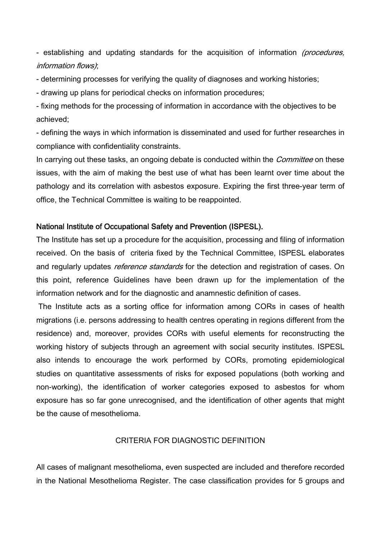- establishing and updating standards for the acquisition of information (procedures, information flows);

- determining processes for verifying the quality of diagnoses and working histories;

- drawing up plans for periodical checks on information procedures;

- fixing methods for the processing of information in accordance with the objectives to be achieved;

- defining the ways in which information is disseminated and used for further researches in compliance with confidentiality constraints.

In carrying out these tasks, an ongoing debate is conducted within the *Committee* on these issues, with the aim of making the best use of what has been learnt over time about the pathology and its correlation with asbestos exposure. Expiring the first three-year term of office, the Technical Committee is waiting to be reappointed.

#### National Institute of Occupational Safety and Prevention (ISPESL).

The Institute has set up a procedure for the acquisition, processing and filing of information received. On the basis of criteria fixed by the Technical Committee, ISPESL elaborates and regularly updates *reference standards* for the detection and registration of cases. On this point, reference Guidelines have been drawn up for the implementation of the information network and for the diagnostic and anamnestic definition of cases.

 The Institute acts as a sorting office for information among CORs in cases of health migrations (i.e. persons addressing to health centres operating in regions different from the residence) and, moreover, provides CORs with useful elements for reconstructing the working history of subjects through an agreement with social security institutes. ISPESL also intends to encourage the work performed by CORs, promoting epidemiological studies on quantitative assessments of risks for exposed populations (both working and non-working), the identification of worker categories exposed to asbestos for whom exposure has so far gone unrecognised, and the identification of other agents that might be the cause of mesothelioma.

#### CRITERIA FOR DIAGNOSTIC DEFINITION

All cases of malignant mesothelioma, even suspected are included and therefore recorded in the National Mesothelioma Register. The case classification provides for 5 groups and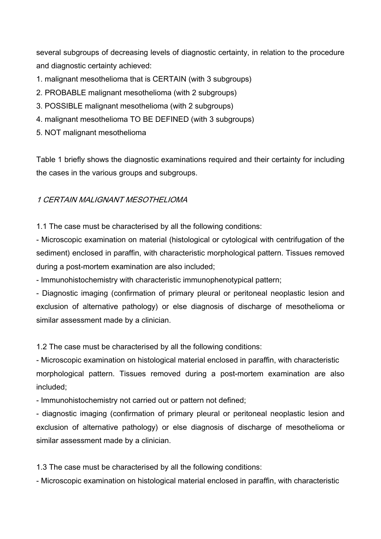several subgroups of decreasing levels of diagnostic certainty, in relation to the procedure and diagnostic certainty achieved:

- 1. malignant mesothelioma that is CERTAIN (with 3 subgroups)
- 2. PROBABLE malignant mesothelioma (with 2 subgroups)
- 3. POSSIBLE malignant mesothelioma (with 2 subgroups)
- 4. malignant mesothelioma TO BE DEFINED (with 3 subgroups)
- 5. NOT malignant mesothelioma

Table 1 briefly shows the diagnostic examinations required and their certainty for including the cases in the various groups and subgroups.

### 1 CERTAIN MALIGNANT MESOTHELIOMA

1.1 The case must be characterised by all the following conditions:

- Microscopic examination on material (histological or cytological with centrifugation of the sediment) enclosed in paraffin, with characteristic morphological pattern. Tissues removed during a post-mortem examination are also included;

- Immunohistochemistry with characteristic immunophenotypical pattern;

- Diagnostic imaging (confirmation of primary pleural or peritoneal neoplastic lesion and exclusion of alternative pathology) or else diagnosis of discharge of mesothelioma or similar assessment made by a clinician.

1.2 The case must be characterised by all the following conditions:

- Microscopic examination on histological material enclosed in paraffin, with characteristic morphological pattern. Tissues removed during a post-mortem examination are also included;

- Immunohistochemistry not carried out or pattern not defined;

- diagnostic imaging (confirmation of primary pleural or peritoneal neoplastic lesion and exclusion of alternative pathology) or else diagnosis of discharge of mesothelioma or similar assessment made by a clinician.

1.3 The case must be characterised by all the following conditions:

- Microscopic examination on histological material enclosed in paraffin, with characteristic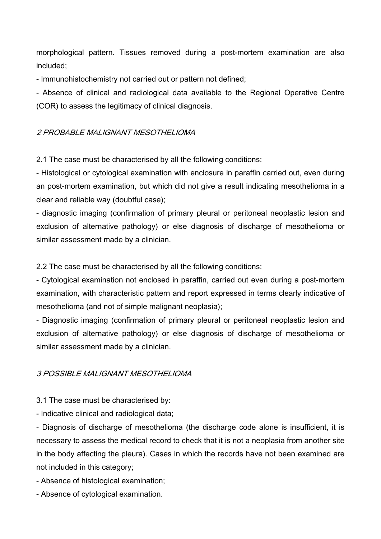morphological pattern. Tissues removed during a post-mortem examination are also included;

- Immunohistochemistry not carried out or pattern not defined;

- Absence of clinical and radiological data available to the Regional Operative Centre (COR) to assess the legitimacy of clinical diagnosis.

#### 2 PROBABLE MALIGNANT MESOTHELIOMA

2.1 The case must be characterised by all the following conditions:

- Histological or cytological examination with enclosure in paraffin carried out, even during an post-mortem examination, but which did not give a result indicating mesothelioma in a clear and reliable way (doubtful case);

- diagnostic imaging (confirmation of primary pleural or peritoneal neoplastic lesion and exclusion of alternative pathology) or else diagnosis of discharge of mesothelioma or similar assessment made by a clinician.

2.2 The case must be characterised by all the following conditions:

- Cytological examination not enclosed in paraffin, carried out even during a post-mortem examination, with characteristic pattern and report expressed in terms clearly indicative of mesothelioma (and not of simple malignant neoplasia);

- Diagnostic imaging (confirmation of primary pleural or peritoneal neoplastic lesion and exclusion of alternative pathology) or else diagnosis of discharge of mesothelioma or similar assessment made by a clinician.

### 3 POSSIBLE MALIGNANT MESOTHELIOMA

3.1 The case must be characterised by:

- Indicative clinical and radiological data;

- Diagnosis of discharge of mesothelioma (the discharge code alone is insufficient, it is necessary to assess the medical record to check that it is not a neoplasia from another site in the body affecting the pleura). Cases in which the records have not been examined are not included in this category;

- Absence of histological examination;

- Absence of cytological examination.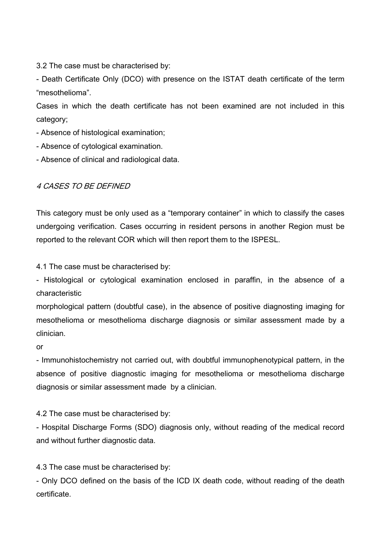3.2 The case must be characterised by:

- Death Certificate Only (DCO) with presence on the ISTAT death certificate of the term "mesothelioma".

Cases in which the death certificate has not been examined are not included in this category;

- Absence of histological examination;
- Absence of cytological examination.
- Absence of clinical and radiological data.

#### 4 CASES TO BE DEFINED

This category must be only used as a "temporary container" in which to classify the cases undergoing verification. Cases occurring in resident persons in another Region must be reported to the relevant COR which will then report them to the ISPESL.

4.1 The case must be characterised by:

- Histological or cytological examination enclosed in paraffin, in the absence of a characteristic

morphological pattern (doubtful case), in the absence of positive diagnosting imaging for mesothelioma or mesothelioma discharge diagnosis or similar assessment made by a clinician.

or

- Immunohistochemistry not carried out, with doubtful immunophenotypical pattern, in the absence of positive diagnostic imaging for mesothelioma or mesothelioma discharge diagnosis or similar assessment made by a clinician.

4.2 The case must be characterised by:

- Hospital Discharge Forms (SDO) diagnosis only, without reading of the medical record and without further diagnostic data.

4.3 The case must be characterised by:

- Only DCO defined on the basis of the ICD IX death code, without reading of the death certificate.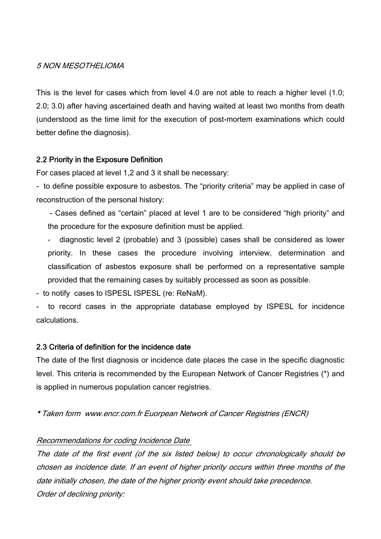#### 5 NON MESOTHELIOMA

This is the level for cases which from level 4.0 are not able to reach a higher level (1.0; 2.0; 3.0) after having ascertained death and having waited at least two months from death (understood as the time limit for the execution of post-mortem examinations which could better define the diagnosis).

#### 2.2 Priority in the Exposure Definition

For cases placed at level 1,2 and 3 it shall be necessary:

- to define possible exposure to asbestos. The "priority criteria" may be applied in case of reconstruction of the personal history:

 - Cases defined as "certain" placed at level 1 are to be considered "high priority" and the procedure for the exposure definition must be applied.

- diagnostic level 2 (probable) and 3 (possible) cases shall be considered as lower priority. In these cases the procedure involving interview, determination and classification of asbestos exposure shall be performed on a representative sample provided that the remaining cases by suitably processed as soon as possible.

- to notify cases to ISPESL ISPESL (re: ReNaM).

to record cases in the appropriate database employed by ISPESL for incidence calculations.

#### 2.3 Criteria of definition for the incidence date

The date of the first diagnosis or incidence date places the case in the specific diagnostic level. This criteria is recommended by the European Network of Cancer Registries (\*) and is applied in numerous population cancer registries.

\* Taken form www.encr.com.fr Euorpean Network of Cancer Registries (ENCR)

#### Recommendations for coding Incidence Date

The date of the first event (of the six listed below) to occur chronologically should be chosen as incidence date. If an event of higher priority occurs within three months of the date initially chosen, the date of the higher priority event should take precedence. Order of declining priority: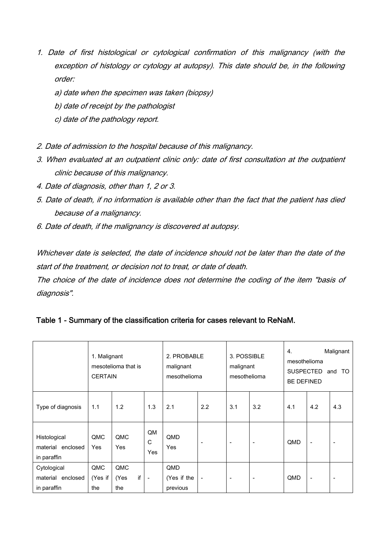- 1. Date of first histological or cytological confirmation of this malignancy (with the exception of histology or cytology at autopsy). This date should be, in the following order:
	- a) date when the specimen was taken (biopsy)
	- b) date of receipt by the pathologist
	- c) date of the pathology report.
- 2. Date of admission to the hospital because of this malignancy.
- 3. When evaluated at an outpatient clinic only: date of first consultation at the outpatient clinic because of this malignancy.
- 4. Date of diagnosis, other than 1, 2 or 3.
- 5. Date of death, if no information is available other than the fact that the patient has died because of a malignancy.
- 6. Date of death, if the malignancy is discovered at autopsy.

Whichever date is selected, the date of incidence should not be later than the date of the start of the treatment, or decision not to treat, or date of death.

The choice of the date of incidence does not determine the coding of the item "basis of diagnosis".

|                                                  | 1. Malignant<br>mesotelioma that is<br><b>CERTAIN</b> |                          |                          | 2. PROBABLE<br>malignant<br>mesothelioma |                          | 3. POSSIBLE<br>malignant<br>mesothelioma |                          | Malignant<br>4.<br>mesothelioma<br><b>SUSPECTED</b><br>TO<br>and<br><b>BE DEFINED</b> |                          |                          |
|--------------------------------------------------|-------------------------------------------------------|--------------------------|--------------------------|------------------------------------------|--------------------------|------------------------------------------|--------------------------|---------------------------------------------------------------------------------------|--------------------------|--------------------------|
| Type of diagnosis                                | 1.1                                                   | 1.2                      | 1.3                      | 2.1                                      | 2.2                      | 3.1                                      | 3.2                      | 4.1                                                                                   | 4.2                      | 4.3                      |
| Histological<br>material enclosed<br>in paraffin | QMC<br>Yes                                            | QMC<br>Yes               | QM<br>C<br>Yes           | QMD<br>Yes                               | $\overline{\phantom{a}}$ |                                          | $\overline{\phantom{a}}$ | QMD                                                                                   | $\blacksquare$           | ٠                        |
| Cytological<br>material enclosed<br>in paraffin  | QMC<br>(Yes if<br>the                                 | QMC<br>if<br>(Yes<br>the | $\overline{\phantom{a}}$ | QMD<br>(Yes if the<br>previous           | $\overline{\phantom{a}}$ | ۰                                        | $\overline{\phantom{a}}$ | QMD                                                                                   | $\overline{\phantom{a}}$ | $\overline{\phantom{a}}$ |

|  |  |  |  | Table 1 - Summary of the classification criteria for cases relevant to ReNaM. |  |
|--|--|--|--|-------------------------------------------------------------------------------|--|
|--|--|--|--|-------------------------------------------------------------------------------|--|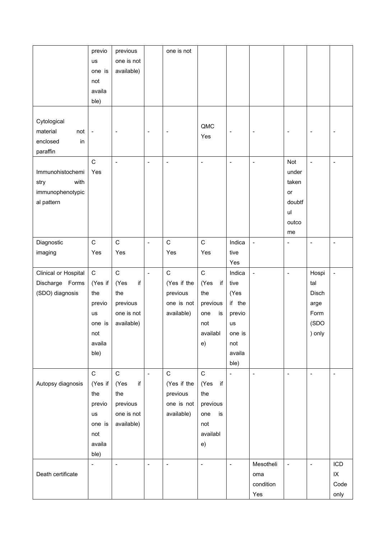|                      | previo                   | previous                 |                              | one is not                   |                |                              |                          |                              |                              |                          |
|----------------------|--------------------------|--------------------------|------------------------------|------------------------------|----------------|------------------------------|--------------------------|------------------------------|------------------------------|--------------------------|
|                      | us                       | one is not               |                              |                              |                |                              |                          |                              |                              |                          |
|                      | one is                   | available)               |                              |                              |                |                              |                          |                              |                              |                          |
|                      | not                      |                          |                              |                              |                |                              |                          |                              |                              |                          |
|                      | availa                   |                          |                              |                              |                |                              |                          |                              |                              |                          |
|                      | ble)                     |                          |                              |                              |                |                              |                          |                              |                              |                          |
|                      |                          |                          |                              |                              |                |                              |                          |                              |                              |                          |
| Cytological          |                          |                          |                              |                              |                |                              |                          |                              |                              |                          |
| material<br>not      | $\overline{\phantom{a}}$ | $\overline{\phantom{a}}$ | $\overline{\phantom{a}}$     | $\qquad \qquad \blacksquare$ | QMC            |                              | $\overline{\phantom{a}}$ | $\overline{\phantom{a}}$     | $\qquad \qquad \blacksquare$ | $\overline{a}$           |
| enclosed<br>in       |                          |                          |                              |                              | Yes            |                              |                          |                              |                              |                          |
| paraffin             |                          |                          |                              |                              |                |                              |                          |                              |                              |                          |
|                      | $\mathsf C$              | $\overline{\phantom{a}}$ | $\qquad \qquad \blacksquare$ | $\blacksquare$               | $\blacksquare$ | $\qquad \qquad \blacksquare$ | $\blacksquare$           | Not                          | $\blacksquare$               | $\overline{a}$           |
| Immunohistochemi     | Yes                      |                          |                              |                              |                |                              |                          | under                        |                              |                          |
| with                 |                          |                          |                              |                              |                |                              |                          | taken                        |                              |                          |
| stry                 |                          |                          |                              |                              |                |                              |                          |                              |                              |                          |
| immunophenotypic     |                          |                          |                              |                              |                |                              |                          | or                           |                              |                          |
| al pattern           |                          |                          |                              |                              |                |                              |                          | doubtf                       |                              |                          |
|                      |                          |                          |                              |                              |                |                              |                          | ul                           |                              |                          |
|                      |                          |                          |                              |                              |                |                              |                          | outco                        |                              |                          |
|                      |                          |                          |                              |                              |                |                              |                          | me                           |                              |                          |
| Diagnostic           | $\mathsf C$              | $\mathsf{C}$             | $\blacksquare$               | $\mathsf C$                  | $\mathsf{C}$   | Indica                       | $\blacksquare$           | $\qquad \qquad \blacksquare$ | $\blacksquare$               | $\overline{a}$           |
| imaging              | Yes                      | Yes                      |                              | Yes                          | Yes            | tive                         |                          |                              |                              |                          |
|                      |                          |                          |                              |                              |                | Yes                          |                          |                              |                              |                          |
| Clinical or Hospital | $\mathbf C$              | $\mathsf{C}$             | $\bar{\phantom{a}}$          | $\mathsf C$                  | $\mathsf{C}$   | Indica                       | $\Box$                   | $\blacksquare$               | Hospi                        | $\blacksquare$           |
| Discharge Forms      | (Yes if                  | (Yes<br>if               |                              | (Yes if the                  | (Yes<br>if     | tive                         |                          |                              | tal                          |                          |
| (SDO) diagnosis      | the                      | the                      |                              | previous                     | the            | (Yes                         |                          |                              | Disch                        |                          |
|                      | previo                   | previous                 |                              | one is not                   | previous       | if the                       |                          |                              | arge                         |                          |
|                      | us                       | one is not               |                              | available)                   | is<br>one      | previo                       |                          |                              | Form                         |                          |
|                      | one is                   | available)               |                              |                              | not            | us                           |                          |                              | (SDO                         |                          |
|                      | not                      |                          |                              |                              | availabl       | one is                       |                          |                              | ) only                       |                          |
|                      | availa                   |                          |                              |                              | e)             | not                          |                          |                              |                              |                          |
|                      | ble)                     |                          |                              |                              |                | availa                       |                          |                              |                              |                          |
|                      |                          |                          |                              |                              |                | ble)                         |                          |                              |                              |                          |
|                      | $\mathbf C$              | $\mathsf{C}$             | $\bar{\phantom{a}}$          | $\mathsf C$                  | $\mathsf C$    | $\overline{a}$               | $\overline{a}$           | $\qquad \qquad \blacksquare$ | $\blacksquare$               | $\overline{\phantom{a}}$ |
| Autopsy diagnosis    | (Yes if                  | if<br>(Yes               |                              | (Yes if the                  | (Yes<br>if     |                              |                          |                              |                              |                          |
|                      | the                      | the                      |                              | previous                     | the            |                              |                          |                              |                              |                          |
|                      | previo                   | previous                 |                              | one is not                   | previous       |                              |                          |                              |                              |                          |
|                      | us                       | one is not               |                              | available)                   | one<br>is      |                              |                          |                              |                              |                          |
|                      | one is                   | available)               |                              |                              | not            |                              |                          |                              |                              |                          |
|                      | not                      |                          |                              |                              | availabl       |                              |                          |                              |                              |                          |
|                      | availa                   |                          |                              |                              | e)             |                              |                          |                              |                              |                          |
|                      | ble)                     |                          |                              |                              |                |                              |                          |                              |                              |                          |
|                      | $\blacksquare$           | $\overline{\phantom{a}}$ | $\qquad \qquad \blacksquare$ | $\blacksquare$               | $\blacksquare$ | $\overline{a}$               | Mesotheli                | $\blacksquare$               | $\blacksquare$               | ICD                      |
| Death certificate    |                          |                          |                              |                              |                |                              | oma                      |                              |                              | $\sf IX$                 |
|                      |                          |                          |                              |                              |                |                              | condition                |                              |                              | Code                     |
|                      |                          |                          |                              |                              |                |                              | Yes                      |                              |                              | only                     |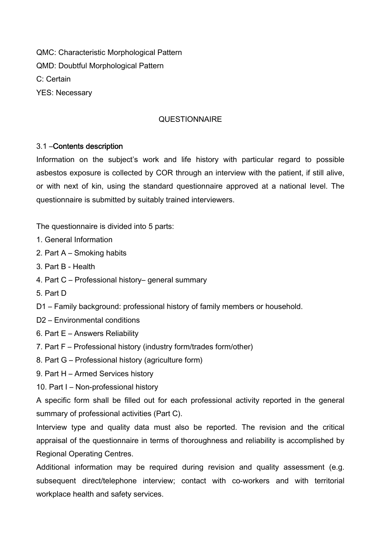QMC: Characteristic Morphological Pattern QMD: Doubtful Morphological Pattern C: Certain YES: Necessary

#### **QUESTIONNAIRE**

#### 3.1 –Contents description

Information on the subject's work and life history with particular regard to possible asbestos exposure is collected by COR through an interview with the patient, if still alive, or with next of kin, using the standard questionnaire approved at a national level. The questionnaire is submitted by suitably trained interviewers.

The questionnaire is divided into 5 parts:

- 1. General Information
- 2. Part A Smoking habits
- 3. Part B Health
- 4. Part C Professional history– general summary
- 5. Part D
- D1 Family background: professional history of family members or household.
- D<sub>2</sub> Environmental conditions
- 6. Part E Answers Reliability
- 7. Part F Professional history (industry form/trades form/other)
- 8. Part G Professional history (agriculture form)
- 9. Part H Armed Services history
- 10. Part I Non-professional history

A specific form shall be filled out for each professional activity reported in the general summary of professional activities (Part C).

Interview type and quality data must also be reported. The revision and the critical appraisal of the questionnaire in terms of thoroughness and reliability is accomplished by Regional Operating Centres.

Additional information may be required during revision and quality assessment (e.g. subsequent direct/telephone interview; contact with co-workers and with territorial workplace health and safety services.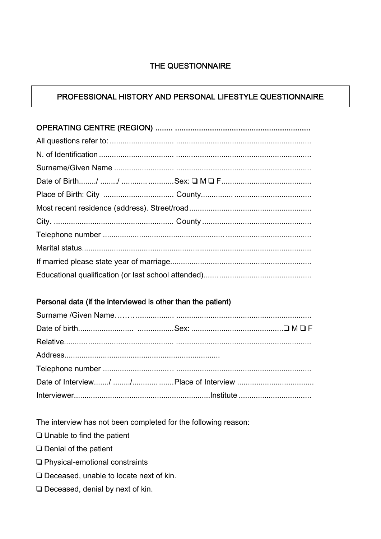## THE QUESTIONNAIRE

### PROFESSIONAL HISTORY AND PERSONAL LIFESTYLE QUESTIONNAIRE

#### Personal data (if the interviewed is other than the patient)

The interview has not been completed for the following reason:

- $\Box$  Unable to find the patient
- $\Box$  Denial of the patient
- □ Physical-emotional constraints
- □ Deceased, unable to locate next of kin.
- □ Deceased, denial by next of kin.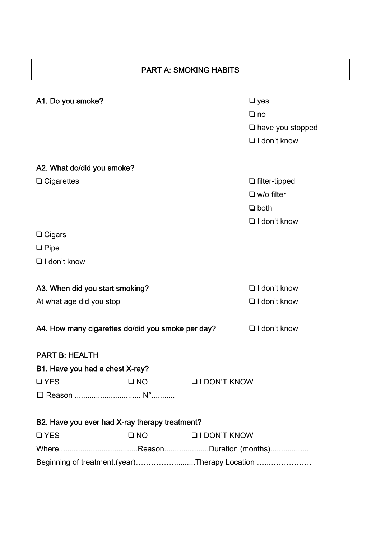# PART A: SMOKING HABITS

| A1. Do you smoke?                                 |              |                     | $\Box$ yes              |
|---------------------------------------------------|--------------|---------------------|-------------------------|
|                                                   |              |                     | $\Box$ no               |
|                                                   |              |                     | $\Box$ have you stopped |
|                                                   |              |                     | $\Box$ I don't know     |
|                                                   |              |                     |                         |
| A2. What do/did you smoke?                        |              |                     |                         |
| $\Box$ Cigarettes                                 |              |                     | $\Box$ filter-tipped    |
|                                                   |              |                     | $\Box$ w/o filter       |
|                                                   |              |                     | $\Box$ both             |
|                                                   |              |                     | $\Box$ I don't know     |
| $\Box$ Cigars                                     |              |                     |                         |
| $\Box$ Pipe                                       |              |                     |                         |
| $\Box$ I don't know                               |              |                     |                         |
|                                                   |              |                     |                         |
| A3. When did you start smoking?                   |              |                     | $\Box$ I don't know     |
| At what age did you stop                          |              |                     | $\Box$ I don't know     |
|                                                   |              |                     |                         |
| A4. How many cigarettes do/did you smoke per day? |              |                     | $\Box$ I don't know     |
|                                                   |              |                     |                         |
| <b>PART B: HEALTH</b>                             |              |                     |                         |
| B1. Have you had a chest X-ray?                   |              |                     |                         |
| $\Box$ YES                                        | $\Box$ NO    | <b>QIDON'T KNOW</b> |                         |
|                                                   |              |                     |                         |
|                                                   |              |                     |                         |
| B2. Have you ever had X-ray therapy treatment?    |              |                     |                         |
| <b>QYES</b>                                       | $\square$ NO | <b>QIDON'T KNOW</b> |                         |
|                                                   |              |                     |                         |
| Beginning of treatment.(year)Therapy Location     |              |                     |                         |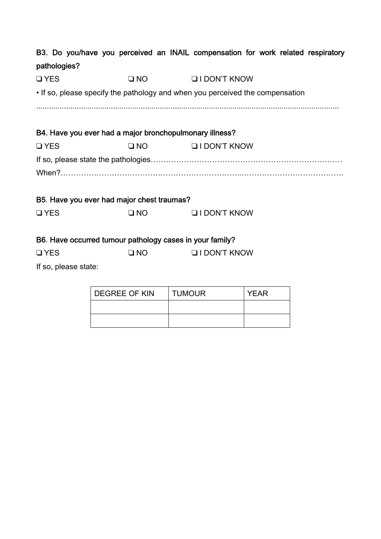|              |                      |                                                          | B3. Do you/have you perceived an INAIL compensation for work related respiratory |  |
|--------------|----------------------|----------------------------------------------------------|----------------------------------------------------------------------------------|--|
| pathologies? |                      |                                                          |                                                                                  |  |
| <b>QYES</b>  |                      | $\Box$ NO $\Box$                                         | <b>QI DON'T KNOW</b>                                                             |  |
|              |                      |                                                          | . If so, please specify the pathology and when you perceived the compensation    |  |
|              |                      |                                                          |                                                                                  |  |
|              |                      | B4. Have you ever had a major bronchopulmonary illness?  |                                                                                  |  |
| <b>QYES</b>  |                      |                                                          | U NO U I DON'T KNOW                                                              |  |
|              |                      |                                                          |                                                                                  |  |
|              |                      |                                                          |                                                                                  |  |
|              |                      | B5. Have you ever had major chest traumas?               |                                                                                  |  |
| <b>QYES</b>  |                      | $\square$ NO                                             | <b>QIDON'T KNOW</b>                                                              |  |
|              |                      | B6. Have occurred tumour pathology cases in your family? |                                                                                  |  |
| <b>QYES</b>  |                      | $\square$ NO                                             | <b>QI DON'T KNOW</b>                                                             |  |
|              | If so, please state: |                                                          |                                                                                  |  |

| <b>DEGREE OF KIN</b> | <b>TUMOUR</b> | <b>YEAR</b> |
|----------------------|---------------|-------------|
|                      |               |             |
|                      |               |             |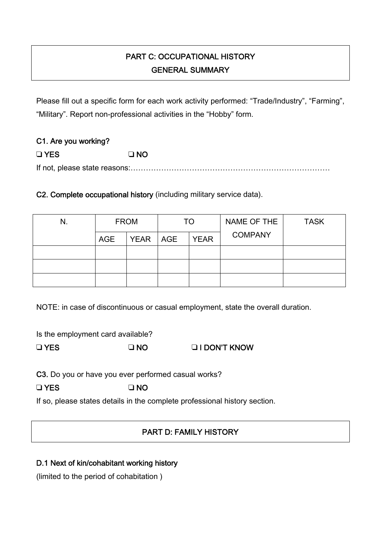# PART C: OCCUPATIONAL HISTORY GENERAL SUMMARY

Please fill out a specific form for each work activity performed: "Trade/Industry", "Farming", "Military". Report non-professional activities in the "Hobby" form.

| C1. Are you working? |           |
|----------------------|-----------|
| $\square$ YES        | $\Box$ NO |
|                      |           |

C2. Complete occupational history (including military service data).

| N. | <b>FROM</b> |            | TO.         | NAME OF THE    | <b>TASK</b> |
|----|-------------|------------|-------------|----------------|-------------|
|    | <b>AGE</b>  | YEAR   AGE | <b>YEAR</b> | <b>COMPANY</b> |             |
|    |             |            |             |                |             |
|    |             |            |             |                |             |
|    |             |            |             |                |             |

NOTE: in case of discontinuous or casual employment, state the overall duration.

Is the employment card available?

❑ YES ❑ NO ❑ I DON'T KNOW

C3. Do you or have you ever performed casual works?

❑ YES ❑ NO

If so, please states details in the complete professional history section.

# PART D: FAMILY HISTORY

# D.1 Next of kin/cohabitant working history

(limited to the period of cohabitation )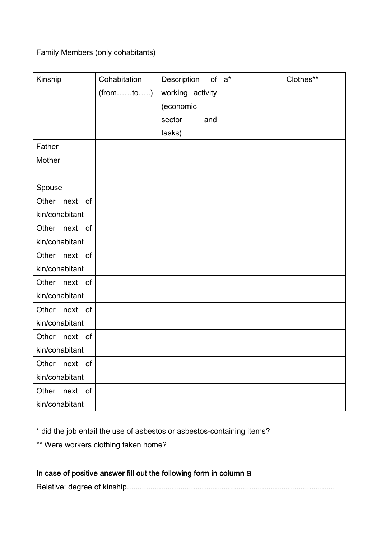## Family Members (only cohabitants)

| Kinship        | Cohabitation | Description<br>of <sub>l</sub> | $a^*$ | Clothes** |
|----------------|--------------|--------------------------------|-------|-----------|
|                | (fromto)     | working activity               |       |           |
|                |              | (economic                      |       |           |
|                |              | sector<br>and                  |       |           |
|                |              | tasks)                         |       |           |
| Father         |              |                                |       |           |
| Mother         |              |                                |       |           |
|                |              |                                |       |           |
| Spouse         |              |                                |       |           |
| Other next of  |              |                                |       |           |
| kin/cohabitant |              |                                |       |           |
| Other next of  |              |                                |       |           |
| kin/cohabitant |              |                                |       |           |
| Other next of  |              |                                |       |           |
| kin/cohabitant |              |                                |       |           |
| Other next of  |              |                                |       |           |
| kin/cohabitant |              |                                |       |           |
| Other next of  |              |                                |       |           |
| kin/cohabitant |              |                                |       |           |
| Other next of  |              |                                |       |           |
| kin/cohabitant |              |                                |       |           |
| Other next of  |              |                                |       |           |
| kin/cohabitant |              |                                |       |           |
| Other next of  |              |                                |       |           |
| kin/cohabitant |              |                                |       |           |

\* did the job entail the use of asbestos or asbestos-containing items?

\*\* Were workers clothing taken home?

# In case of positive answer fill out the following form in column a

Relative: degree of kinship.................................................................................................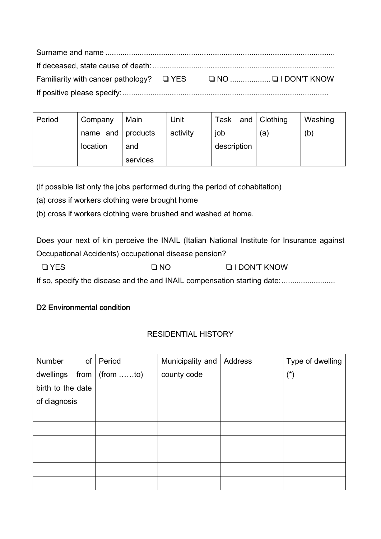| Period | Company           | Main     | Unit     | Task        | and   Clothing | Washing |
|--------|-------------------|----------|----------|-------------|----------------|---------|
|        | name and products |          | activity | job         | a)             | (b)     |
|        | location          | and      |          | description |                |         |
|        |                   | services |          |             |                |         |

(If possible list only the jobs performed during the period of cohabitation)

(a) cross if workers clothing were brought home

(b) cross if workers clothing were brushed and washed at home.

Does your next of kin perceive the INAIL (Italian National Institute for Insurance against Occupational Accidents) occupational disease pension?

❑ YES ❑ NO ❑ I DON'T KNOW

If so, specify the disease and the and INAIL compensation starting date:.........................

#### D<sub>2</sub> Environmental condition

#### RESIDENTIAL HISTORY

| Number            | of   Period        | Municipality and | Address | Type of dwelling      |
|-------------------|--------------------|------------------|---------|-----------------------|
| dwellings         | from $ $ (from to) | county code      |         | $(\dot{\phantom{a}})$ |
| birth to the date |                    |                  |         |                       |
| of diagnosis      |                    |                  |         |                       |
|                   |                    |                  |         |                       |
|                   |                    |                  |         |                       |
|                   |                    |                  |         |                       |
|                   |                    |                  |         |                       |
|                   |                    |                  |         |                       |
|                   |                    |                  |         |                       |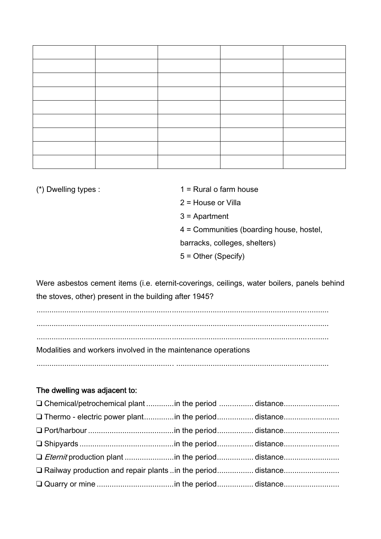- (\*) Dwelling types :  $1 =$  Rural o farm house
	- 2 = House or Villa
	- 3 = Apartment
	- 4 = Communities (boarding house, hostel,
	- barracks, colleges, shelters)
	- 5 = Other (Specify)

Were asbestos cement items (i.e. eternit-coverings, ceilings, water boilers, panels behind the stoves, other) present in the building after 1945?

........................................................................................................................................ ........................................................................................................................................ ........................................................................................................................................ Modalities and workers involved in the maintenance operations ................................................................ .......................................................................

### The dwelling was adjacent to:

| □ Chemical/petrochemical plant in the period distance        |  |
|--------------------------------------------------------------|--|
|                                                              |  |
|                                                              |  |
|                                                              |  |
|                                                              |  |
| □ Railway production and repair plants in the perioddistance |  |
|                                                              |  |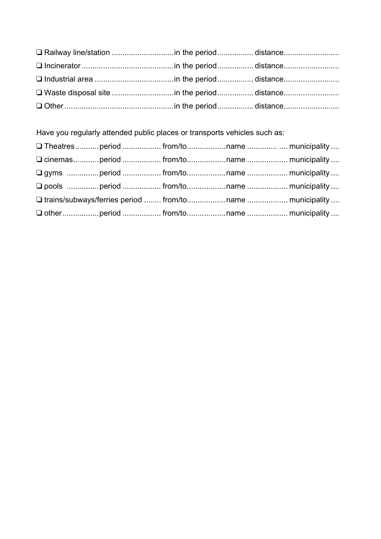Have you regularly attended public places or transports vehicles such as:

|  | □ cinemasperiod  from/toname  municipality                 |  |
|--|------------------------------------------------------------|--|
|  |                                                            |  |
|  |                                                            |  |
|  | □ trains/subways/ferries period  from/toname  municipality |  |
|  |                                                            |  |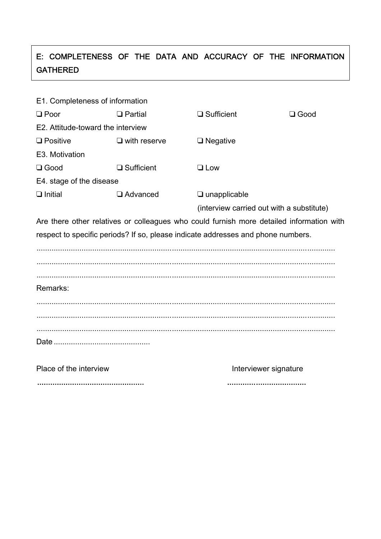# E: COMPLETENESS OF THE DATA AND ACCURACY OF THE INFORMATION GATHERED

| E1. Completeness of information   |                     |                                                                                          |             |
|-----------------------------------|---------------------|------------------------------------------------------------------------------------------|-------------|
| $\Box$ Poor                       | $\Box$ Partial      | $\Box$ Sufficient                                                                        | $\Box$ Good |
| E2. Attitude-toward the interview |                     |                                                                                          |             |
| $\Box$ Positive                   | $\Box$ with reserve | $\Box$ Negative                                                                          |             |
| E3. Motivation                    |                     |                                                                                          |             |
| $\Box$ Good                       | $\Box$ Sufficient   | $\Box$ Low                                                                               |             |
| E4. stage of the disease          |                     |                                                                                          |             |
| $\Box$ Initial                    | $\Box$ Advanced     | $\Box$ unapplicable                                                                      |             |
|                                   |                     | (interview carried out with a substitute)                                                |             |
|                                   |                     | Are there other relatives or colleagues who could furnish more detailed information with |             |
|                                   |                     | respect to specific periods? If so, please indicate addresses and phone numbers.         |             |
|                                   |                     |                                                                                          |             |
|                                   |                     |                                                                                          |             |
|                                   |                     |                                                                                          |             |
| Remarks:                          |                     |                                                                                          |             |
|                                   |                     |                                                                                          |             |
|                                   |                     |                                                                                          |             |
|                                   |                     |                                                                                          |             |
|                                   |                     |                                                                                          |             |
|                                   |                     |                                                                                          |             |
| Place of the interview            |                     | Interviewer signature                                                                    |             |
|                                   |                     |                                                                                          |             |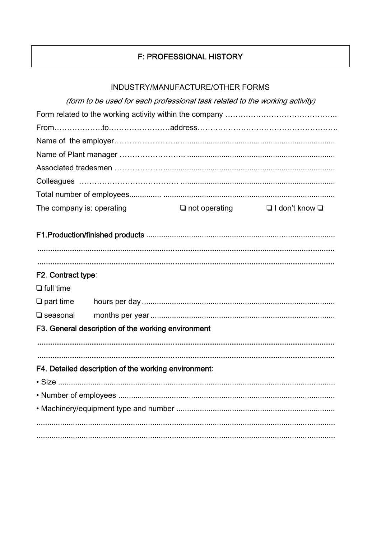# F: PROFESSIONAL HISTORY

| INDUSTRY/MANUFACTURE/OTHER FORMS |
|----------------------------------|
|----------------------------------|

|                           | (form to be used for each professional task related to the working activity) |                      |                            |  |  |  |
|---------------------------|------------------------------------------------------------------------------|----------------------|----------------------------|--|--|--|
|                           |                                                                              |                      |                            |  |  |  |
|                           |                                                                              |                      |                            |  |  |  |
|                           |                                                                              |                      |                            |  |  |  |
|                           |                                                                              |                      |                            |  |  |  |
|                           |                                                                              |                      |                            |  |  |  |
|                           |                                                                              |                      |                            |  |  |  |
|                           |                                                                              |                      |                            |  |  |  |
| The company is: operating |                                                                              | $\Box$ not operating | $\Box$ I don't know $\Box$ |  |  |  |
|                           |                                                                              |                      |                            |  |  |  |
|                           |                                                                              |                      |                            |  |  |  |
|                           |                                                                              |                      |                            |  |  |  |
|                           |                                                                              |                      |                            |  |  |  |
| F2. Contract type:        |                                                                              |                      |                            |  |  |  |
| $\Box$ full time          |                                                                              |                      |                            |  |  |  |
| $\Box$ part time          |                                                                              |                      |                            |  |  |  |
| $\square$ seasonal        |                                                                              |                      |                            |  |  |  |
|                           | F3. General description of the working environment                           |                      |                            |  |  |  |
|                           |                                                                              |                      |                            |  |  |  |
|                           |                                                                              |                      |                            |  |  |  |
|                           | F4. Detailed description of the working environment:                         |                      |                            |  |  |  |
| $\cdot$ Size              |                                                                              |                      |                            |  |  |  |
|                           |                                                                              |                      |                            |  |  |  |
|                           |                                                                              |                      |                            |  |  |  |
|                           |                                                                              |                      |                            |  |  |  |
|                           |                                                                              |                      |                            |  |  |  |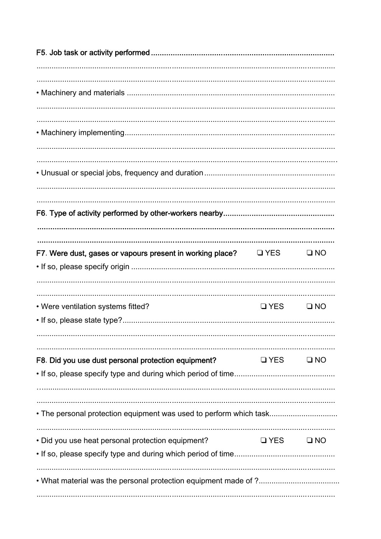| F7. Were dust, gases or vapours present in working place?          | <b>Q</b> YES | $\square$ NO |
|--------------------------------------------------------------------|--------------|--------------|
| • Were ventilation systems fitted?                                 | $\Box$ YES   | $\square$ NO |
| F8. Did you use dust personal protection equipment?                | $\Box$ YES   | $\square$ NO |
| . The personal protection equipment was used to perform which task |              |              |
| • Did you use heat personal protection equipment?                  | $\Box$ YES   | $\square$ NO |
|                                                                    |              |              |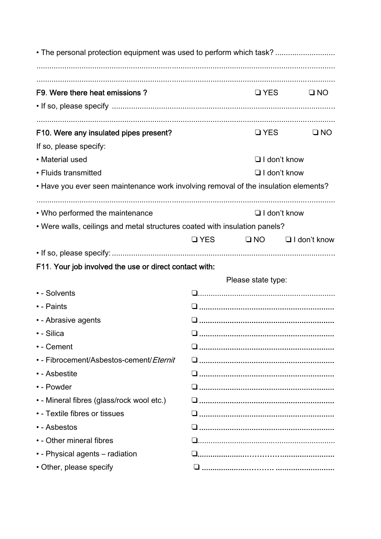| F9. Were there heat emissions?                                                      |              | $\Box$ YES         | $\square$ NO        |  |  |
|-------------------------------------------------------------------------------------|--------------|--------------------|---------------------|--|--|
|                                                                                     |              |                    |                     |  |  |
| F10. Were any insulated pipes present?                                              |              | $\Box$ YES         | $\square$ NO        |  |  |
| If so, please specify:                                                              |              |                    |                     |  |  |
| • Material used                                                                     |              |                    | $\Box$ I don't know |  |  |
| • Fluids transmitted                                                                |              |                    | $\Box$ I don't know |  |  |
| • Have you ever seen maintenance work involving removal of the insulation elements? |              |                    |                     |  |  |
| • Who performed the maintenance                                                     |              |                    | $\Box$ I don't know |  |  |
| . Were walls, ceilings and metal structures coated with insulation panels?          |              |                    |                     |  |  |
|                                                                                     | <b>Q</b> YES | $\Box$ NO          | $\Box$ I don't know |  |  |
|                                                                                     |              |                    |                     |  |  |
| F11. Your job involved the use or direct contact with:                              |              |                    |                     |  |  |
|                                                                                     |              | Please state type: |                     |  |  |
| • - Solvents                                                                        |              |                    |                     |  |  |
| • - Paints                                                                          |              |                    |                     |  |  |
| • - Abrasive agents                                                                 |              |                    |                     |  |  |
| • - Silica                                                                          | n            |                    |                     |  |  |
| • - Cement                                                                          |              |                    |                     |  |  |
| • - Fibrocement/Asbestos-cement/ <i>Eternit</i>                                     |              |                    |                     |  |  |
| • - Asbestite                                                                       |              |                    |                     |  |  |
| • - Powder                                                                          |              |                    |                     |  |  |
| · - Mineral fibres (glass/rock wool etc.)                                           |              |                    |                     |  |  |
| • - Textile fibres or tissues                                                       |              |                    |                     |  |  |
| • - Asbestos                                                                        |              |                    |                     |  |  |
| • - Other mineral fibres                                                            |              |                    |                     |  |  |
| • - Physical agents – radiation                                                     |              |                    |                     |  |  |
| • Other, please specify                                                             |              |                    |                     |  |  |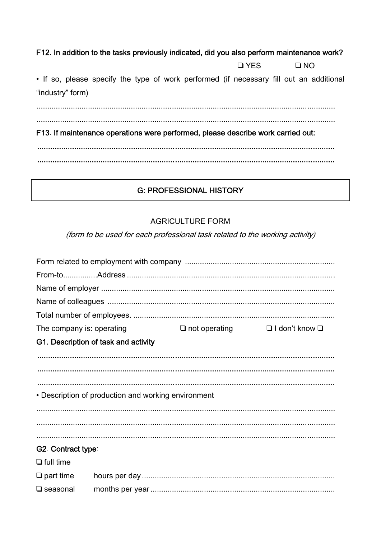#### F12. In addition to the tasks previously indicated, did you also perform maintenance work?

**QYES**  $\square$  NO

. If so, please specify the type of work performed (if necessary fill out an additional "industry" form)

F13. If maintenance operations were performed, please describe work carried out:

### **G: PROFESSIONAL HISTORY**

#### **AGRICULTURE FORM**

(form to be used for each professional task related to the working activity)

| The company is: operating |                                                     | $\Box$ not operating | $\Box$ I don't know $\Box$ |
|---------------------------|-----------------------------------------------------|----------------------|----------------------------|
|                           | G1. Description of task and activity                |                      |                            |
|                           |                                                     |                      |                            |
|                           |                                                     |                      |                            |
|                           |                                                     |                      |                            |
|                           | • Description of production and working environment |                      |                            |
|                           |                                                     |                      |                            |
|                           |                                                     |                      |                            |
|                           |                                                     |                      |                            |
| G2. Contract type:        |                                                     |                      |                            |
| $\Box$ full time          |                                                     |                      |                            |
| $\Box$ part time          |                                                     |                      |                            |
| $\square$ seasonal        |                                                     |                      |                            |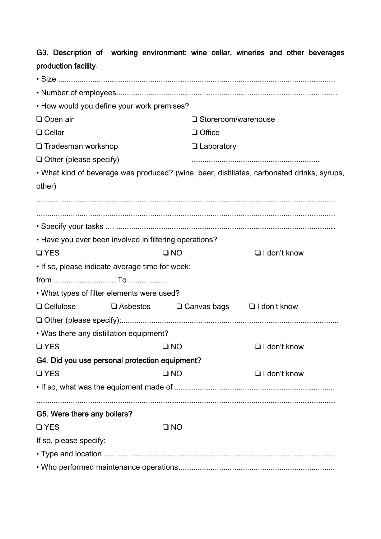| production facility.                                   |                                                                                                                     |              |                            |                                                                                            |  |
|--------------------------------------------------------|---------------------------------------------------------------------------------------------------------------------|--------------|----------------------------|--------------------------------------------------------------------------------------------|--|
|                                                        |                                                                                                                     |              |                            |                                                                                            |  |
|                                                        |                                                                                                                     |              |                            |                                                                                            |  |
| • How would you define your work premises?             |                                                                                                                     |              |                            |                                                                                            |  |
| $\Box$ Open air                                        |                                                                                                                     |              | $\Box$ Storeroom/warehouse |                                                                                            |  |
| $\Box$ Cellar                                          |                                                                                                                     |              | $\Box$ Office              |                                                                                            |  |
| □ Tradesman workshop                                   |                                                                                                                     |              | $\Box$ Laboratory          |                                                                                            |  |
| $\Box$ Other (please specify)                          |                                                                                                                     |              |                            |                                                                                            |  |
|                                                        |                                                                                                                     |              |                            | • What kind of beverage was produced? (wine, beer, distillates, carbonated drinks, syrups, |  |
| other)                                                 |                                                                                                                     |              |                            |                                                                                            |  |
|                                                        |                                                                                                                     |              |                            |                                                                                            |  |
|                                                        |                                                                                                                     |              |                            |                                                                                            |  |
|                                                        |                                                                                                                     |              |                            |                                                                                            |  |
| • Have you ever been involved in filtering operations? |                                                                                                                     |              |                            |                                                                                            |  |
| $\Box$ YES                                             |                                                                                                                     | $\square$ NO |                            | $\Box$ I don't know                                                                        |  |
| . If so, please indicate average time for week:        |                                                                                                                     |              |                            |                                                                                            |  |
|                                                        |                                                                                                                     |              |                            |                                                                                            |  |
| • What types of filter elements were used?             |                                                                                                                     |              |                            |                                                                                            |  |
| $\Box$ Cellulose                                       | $\Box$ Asbestos                                                                                                     |              |                            | $\Box$ Canvas bags $\Box$ I don't know                                                     |  |
|                                                        |                                                                                                                     |              |                            |                                                                                            |  |
| . Was there any distillation equipment?                |                                                                                                                     |              |                            |                                                                                            |  |
| $\Box$ YES                                             | <b>EXAMPLE THE STATE OF THE STATE OF THE STATE OF THE STATE OF THE STATE OF THE STATE OF THE STATE OF THE STATE</b> |              |                            | $\Box$ I don't know                                                                        |  |
| G4. Did you use personal protection equipment?         |                                                                                                                     |              |                            |                                                                                            |  |
| $\Box$ YES                                             |                                                                                                                     | $\square$ NO |                            | $\Box$ I don't know                                                                        |  |
|                                                        |                                                                                                                     |              |                            |                                                                                            |  |
|                                                        |                                                                                                                     |              |                            |                                                                                            |  |
| G5. Were there any boilers?                            |                                                                                                                     |              |                            |                                                                                            |  |
| <b>QYES</b>                                            |                                                                                                                     | $\square$ NO |                            |                                                                                            |  |
| If so, please specify:                                 |                                                                                                                     |              |                            |                                                                                            |  |
|                                                        |                                                                                                                     |              |                            |                                                                                            |  |
|                                                        |                                                                                                                     |              |                            |                                                                                            |  |

G3. Description of working environment: wine cellar, wineries and other beverages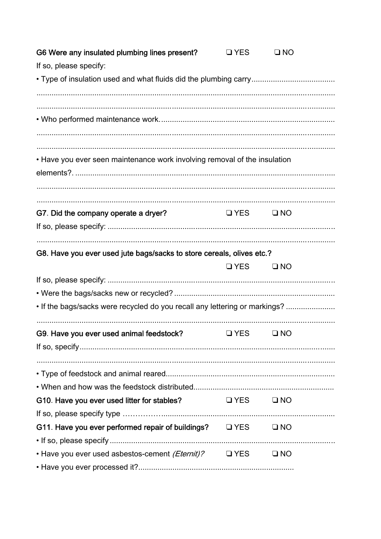| G6 Were any insulated plumbing lines present?                              | $\Box$ YES           | $\square$ NO |  |
|----------------------------------------------------------------------------|----------------------|--------------|--|
| If so, please specify:                                                     |                      |              |  |
|                                                                            |                      |              |  |
|                                                                            |                      |              |  |
|                                                                            |                      |              |  |
|                                                                            |                      |              |  |
| • Have you ever seen maintenance work involving removal of the insulation  |                      |              |  |
|                                                                            |                      |              |  |
|                                                                            |                      |              |  |
| G7. Did the company operate a dryer?                                       | $\Box$ YES $\Box$ NO |              |  |
|                                                                            |                      |              |  |
| G8. Have you ever used jute bags/sacks to store cereals, olives etc.?      |                      |              |  |
|                                                                            | $QYES$ $QNO$         |              |  |
|                                                                            |                      |              |  |
|                                                                            |                      |              |  |
| . If the bags/sacks were recycled do you recall any lettering or markings? |                      |              |  |
|                                                                            |                      |              |  |
| G9. Have you ever used animal feedstock?                                   | $\Box$ YFS           | $\Box$ NO    |  |
|                                                                            |                      |              |  |
|                                                                            |                      |              |  |
|                                                                            |                      |              |  |
| G10. Have you ever used litter for stables?                                | $QYES$ $QNO$         |              |  |
|                                                                            |                      |              |  |
| G11. Have you ever performed repair of buildings? $\Box$ YES $\Box$ NO     |                      |              |  |
|                                                                            |                      |              |  |
| • Have you ever used asbestos-cement (Eternit)? $\Box$ YES $\Box$ NO       |                      |              |  |
|                                                                            |                      |              |  |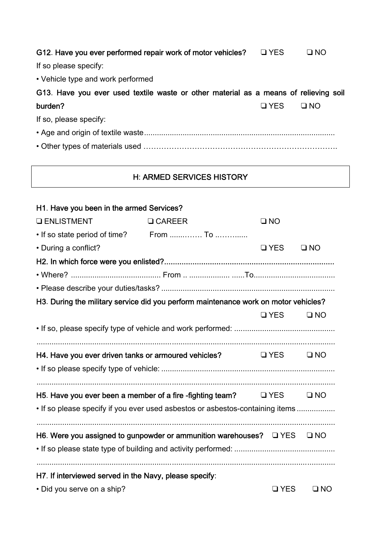| G12. Have you ever performed repair work of motor vehicles?                          | <b>D</b> YES | $\square$ NO |
|--------------------------------------------------------------------------------------|--------------|--------------|
| If so please specify:                                                                |              |              |
| • Vehicle type and work performed                                                    |              |              |
| G13. Have you ever used textile waste or other material as a means of relieving soil |              |              |
| burden?                                                                              | $\Box$ YES   | $\square$ NO |
| If so, please specify:                                                               |              |              |
|                                                                                      |              |              |
|                                                                                      |              |              |

# H: ARMED SERVICES HISTORY

| H1. Have you been in the armed Services?               |                                                                                     |              |              |
|--------------------------------------------------------|-------------------------------------------------------------------------------------|--------------|--------------|
| <b>Q ENLISTMENT</b>                                    | <b>Q CAREER</b>                                                                     | $\square$ NO |              |
| • If so state period of time? From  To                 |                                                                                     |              |              |
| • During a conflict?                                   |                                                                                     | <b>Q</b> YES | $\square$ NO |
|                                                        |                                                                                     |              |              |
|                                                        |                                                                                     |              |              |
|                                                        |                                                                                     |              |              |
|                                                        | H3. During the military service did you perform maintenance work on motor vehicles? |              |              |
|                                                        |                                                                                     | $\Box$ YES   | $\square$ NO |
|                                                        |                                                                                     |              |              |
|                                                        |                                                                                     |              |              |
| H4. Have you ever driven tanks or armoured vehicles?   |                                                                                     | $\Box$ YES   | $\square$ NO |
|                                                        |                                                                                     |              |              |
|                                                        | H5. Have you ever been a member of a fire -fighting team? $\Box$ YES                |              | $\square$ NO |
|                                                        | • If so please specify if you ever used asbestos or asbestos-containing items       |              |              |
|                                                        |                                                                                     |              |              |
|                                                        | H6. Were you assigned to gunpowder or ammunition warehouses? $\Box$ YES             |              | $\square$ NO |
|                                                        |                                                                                     |              |              |
|                                                        |                                                                                     |              |              |
| H7. If interviewed served in the Navy, please specify: |                                                                                     |              |              |
| · Did you serve on a ship?                             |                                                                                     | <b>QYES</b>  | $\square$ NO |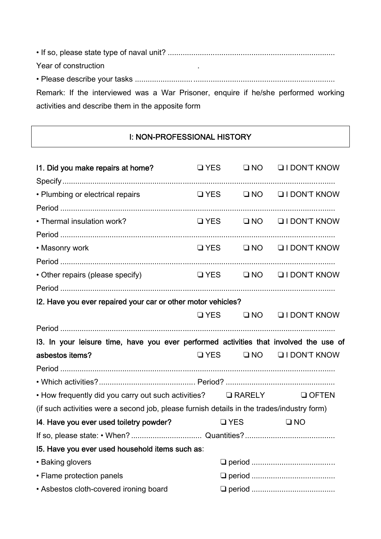• If so, please state type of naval unit? .............................................................................. Year of construction • Please describe your tasks ............................................................................................. Remark: If the interviewed was a War Prisoner, enquire if he/she performed working activities and describe them in the apposite form

### I: NON-PROFESSIONAL HISTORY

| 11. Did you make repairs at home?                                                          | $\Box$ YES                                                                                                          |  | ONO OIDON'T KNOW                         |
|--------------------------------------------------------------------------------------------|---------------------------------------------------------------------------------------------------------------------|--|------------------------------------------|
|                                                                                            |                                                                                                                     |  |                                          |
| • Plumbing or electrical repairs                                                           |                                                                                                                     |  | $\Box$ YES $\Box$ NO $\Box$ I DON'T KNOW |
|                                                                                            |                                                                                                                     |  |                                          |
| • Thermal insulation work?                                                                 |                                                                                                                     |  | $\Box$ YES $\Box$ NO $\Box$ I DON'T KNOW |
|                                                                                            |                                                                                                                     |  |                                          |
| • Masonry work                                                                             |                                                                                                                     |  | $\Box$ YES $\Box$ NO $\Box$ I DON'T KNOW |
|                                                                                            |                                                                                                                     |  |                                          |
| • Other repairs (please specify)                                                           |                                                                                                                     |  | U YES UNO UI DON'T KNOW                  |
|                                                                                            |                                                                                                                     |  |                                          |
| I2. Have you ever repaired your car or other motor vehicles?                               |                                                                                                                     |  |                                          |
|                                                                                            |                                                                                                                     |  | $\Box$ YES $\Box$ NO $\Box$ I DON'T KNOW |
|                                                                                            |                                                                                                                     |  |                                          |
| 13. In your leisure time, have you ever performed activities that involved the use of      |                                                                                                                     |  |                                          |
| asbestos items?                                                                            |                                                                                                                     |  | $\Box$ YES $\Box$ NO $\Box$ I DON'T KNOW |
|                                                                                            |                                                                                                                     |  |                                          |
|                                                                                            |                                                                                                                     |  |                                          |
| • How frequently did you carry out such activities? $\Box$ RARELY                          |                                                                                                                     |  | $\Box$ OFTEN                             |
| (if such activities were a second job, please furnish details in the trades/industry form) |                                                                                                                     |  |                                          |
| 14. Have you ever used toiletry powder?                                                    | <b>Example 19 On The Street Street Street Street Street Street Street Street Street Street Street Street Street</b> |  | $\square$ NO                             |
|                                                                                            |                                                                                                                     |  |                                          |
| 15. Have you ever used household items such as:                                            |                                                                                                                     |  |                                          |
| • Baking glovers                                                                           |                                                                                                                     |  |                                          |
| • Flame protection panels                                                                  |                                                                                                                     |  |                                          |
| • Asbestos cloth-covered ironing board                                                     |                                                                                                                     |  |                                          |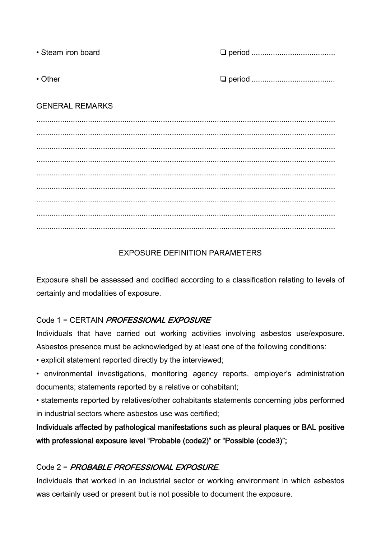| • Steam iron board     |  |
|------------------------|--|
| $\cdot$ Other          |  |
| <b>GENERAL REMARKS</b> |  |
|                        |  |
|                        |  |
|                        |  |
|                        |  |

........................................................................................................................................... ........................................................................................................................................... ........................................................................................................................................... ...........................................................................................................................................

# EXPOSURE DEFINITION PARAMETERS

Exposure shall be assessed and codified according to a classification relating to levels of certainty and modalities of exposure.

### Code 1 = CERTAIN *PROFESSIONAL EXPOSURE*

Individuals that have carried out working activities involving asbestos use/exposure. Asbestos presence must be acknowledged by at least one of the following conditions:

- explicit statement reported directly by the interviewed;
- environmental investigations, monitoring agency reports, employer's administration documents; statements reported by a relative or cohabitant;
- statements reported by relatives/other cohabitants statements concerning jobs performed in industrial sectors where asbestos use was certified;

Individuals affected by pathological manifestations such as pleural plaques or BAL positive with professional exposure level "Probable (code2)" or "Possible (code3)";

# Code 2 = PROBABLE PROFESSIONAL EXPOSURE.

Individuals that worked in an industrial sector or working environment in which asbestos was certainly used or present but is not possible to document the exposure.